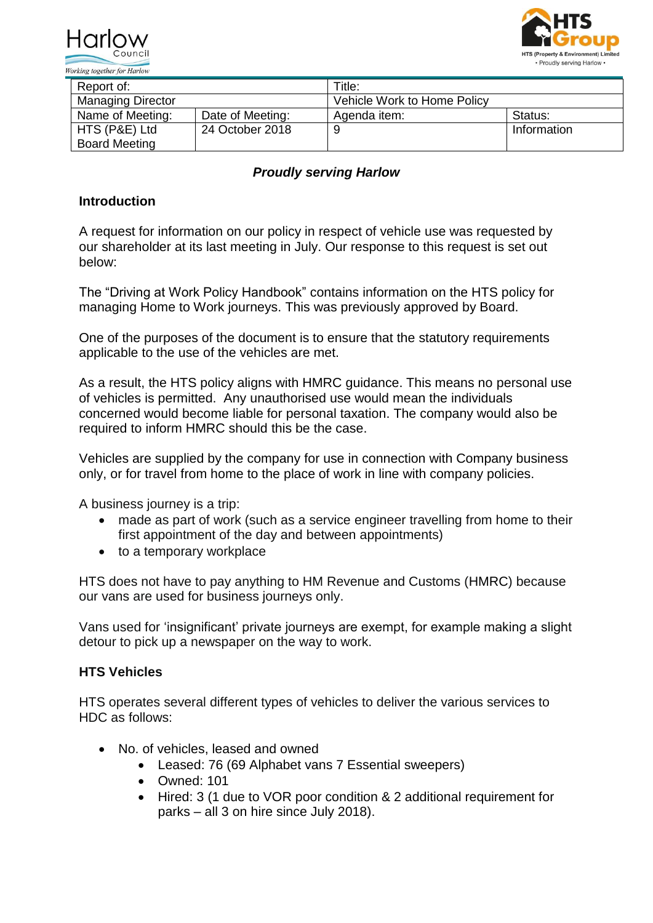



| Report of:               |                  | Title:                      |             |
|--------------------------|------------------|-----------------------------|-------------|
| <b>Managing Director</b> |                  | Vehicle Work to Home Policy |             |
| Name of Meeting:         | Date of Meeting: | Agenda item:                | Status:     |
| HTS (P&E) Ltd            | 24 October 2018  | 9                           | Information |
| <b>Board Meeting</b>     |                  |                             |             |

## *Proudly serving Harlow*

## **Introduction**

A request for information on our policy in respect of vehicle use was requested by our shareholder at its last meeting in July. Our response to this request is set out below:

The "Driving at Work Policy Handbook" contains information on the HTS policy for managing Home to Work journeys. This was previously approved by Board.

One of the purposes of the document is to ensure that the statutory requirements applicable to the use of the vehicles are met.

As a result, the HTS policy aligns with HMRC guidance. This means no personal use of vehicles is permitted. Any unauthorised use would mean the individuals concerned would become liable for personal taxation. The company would also be required to inform HMRC should this be the case.

Vehicles are supplied by the company for use in connection with Company business only, or for travel from home to the place of work in line with company policies.

A business journey is a trip:

- made as part of work (such as a service engineer travelling from home to their first appointment of the day and between appointments)
- to a temporary workplace

HTS does not have to pay anything to HM Revenue and Customs (HMRC) because our vans are used for business journeys only.

Vans used for 'insignificant' private journeys are exempt, for example making a slight detour to pick up a newspaper on the way to work.

## **HTS Vehicles**

HTS operates several different types of vehicles to deliver the various services to HDC as follows:

- No. of vehicles, leased and owned
	- Leased: 76 (69 Alphabet vans 7 Essential sweepers)
	- Owned: 101
	- Hired: 3 (1 due to VOR poor condition & 2 additional requirement for parks – all 3 on hire since July 2018).